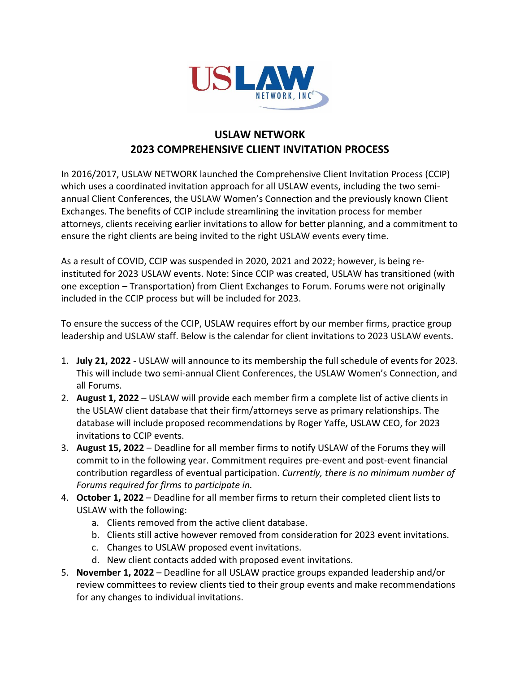

## **USLAW NETWORK 2023 COMPREHENSIVE CLIENT INVITATION PROCESS**

In 2016/2017, USLAW NETWORK launched the Comprehensive Client Invitation Process (CCIP) which uses a coordinated invitation approach for all USLAW events, including the two semiannual Client Conferences, the USLAW Women's Connection and the previously known Client Exchanges. The benefits of CCIP include streamlining the invitation process for member attorneys, clients receiving earlier invitations to allow for better planning, and a commitment to ensure the right clients are being invited to the right USLAW events every time.

As a result of COVID, CCIP was suspended in 2020, 2021 and 2022; however, is being reinstituted for 2023 USLAW events. Note: Since CCIP was created, USLAW has transitioned (with one exception – Transportation) from Client Exchanges to Forum. Forums were not originally included in the CCIP process but will be included for 2023.

To ensure the success of the CCIP, USLAW requires effort by our member firms, practice group leadership and USLAW staff. Below is the calendar for client invitations to 2023 USLAW events.

- 1. **July 21, 2022** USLAW will announce to its membership the full schedule of events for 2023. This will include two semi-annual Client Conferences, the USLAW Women's Connection, and all Forums.
- 2. **August 1, 2022**  USLAW will provide each member firm a complete list of active clients in the USLAW client database that their firm/attorneys serve as primary relationships. The database will include proposed recommendations by Roger Yaffe, USLAW CEO, for 2023 invitations to CCIP events.
- 3. **August 15, 2022** Deadline for all member firms to notify USLAW of the Forums they will commit to in the following year. Commitment requires pre-event and post-event financial contribution regardless of eventual participation. *Currently, there is no minimum number of Forums required for firms to participate in.*
- 4. **October 1, 2022** Deadline for all member firms to return their completed client lists to USLAW with the following:
	- a. Clients removed from the active client database.
	- b. Clients still active however removed from consideration for 2023 event invitations.
	- c. Changes to USLAW proposed event invitations.
	- d. New client contacts added with proposed event invitations.
- 5. **November 1, 2022** Deadline for all USLAW practice groups expanded leadership and/or review committees to review clients tied to their group events and make recommendations for any changes to individual invitations.